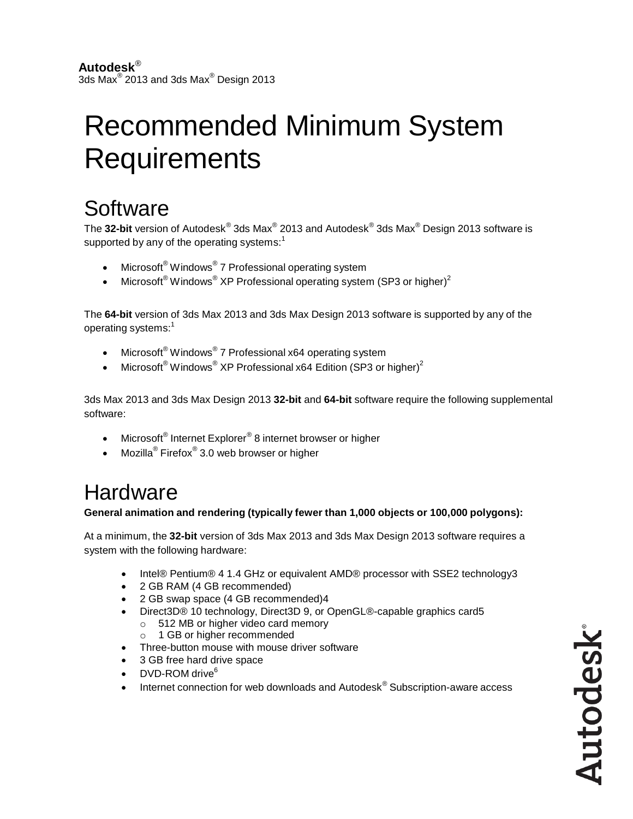# Recommended Minimum System **Requirements**

### **Software**

The **32-bit** version of Autodesk ® 3ds Max ® 2013 and Autodesk ® 3ds Max ® Design 2013 software is supported by any of the operating systems: $^{\rm 1}$ 

- Microsoft® Windows® 7 Professional operating system
- Microsoft  $^{\circ}$  Windows  $^{\circ}$  XP Professional operating system (SP3 or higher)<sup>2</sup>

The **64-bit** version of 3ds Max 2013 and 3ds Max Design 2013 software is supported by any of the operating systems:<sup>1</sup>

- $\bullet$  Microsoft® Windows® 7 Professional x64 operating system
- Microsoft $^{\circledR}$  Windows $^{\circledR}$  XP Professional x64 Edition (SP3 or higher)<sup>2</sup>

3ds Max 2013 and 3ds Max Design 2013 **32-bit** and **64-bit** software require the following supplemental software:

- Microsoft® Internet Explorer® 8 internet browser or higher
- Mozilla $^{\circledR}$  Firefox $^{\circledR}$  3.0 web browser or higher

### **Hardware**

**General animation and rendering (typically fewer than 1,000 objects or 100,000 polygons):**

At a minimum, the **32-bit** version of 3ds Max 2013 and 3ds Max Design 2013 software requires a system with the following hardware:

- Intel® Pentium® 4 1.4 GHz or equivalent AMD® processor with SSE2 technology3
- 2 GB RAM (4 GB recommended)
- 2 GB swap space (4 GB recommended)4
- Direct3D® 10 technology, Direct3D 9, or OpenGL®-capable graphics card5 o 512 MB or higher video card memory
	- o 1 GB or higher recommended
- Three-button mouse with mouse driver software
- 3 GB free hard drive space
- DVD-ROM drive<sup>6</sup>
- Internet connection for web downloads and Autodes $k^{\circledast}$  Subscription-aware access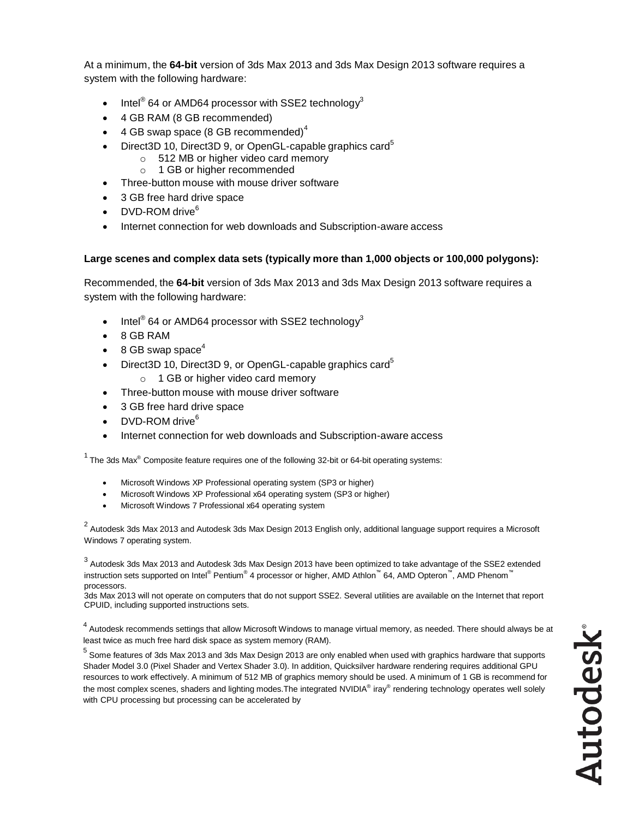At a minimum, the **64-bit** version of 3ds Max 2013 and 3ds Max Design 2013 software requires a system with the following hardware:

- Intel $^{\circ}$  64 or AMD64 processor with SSE2 technology $^3$
- 4 GB RAM (8 GB recommended)
- 4 GB swap space (8 GB recommended) $<sup>4</sup>$ </sup>
- Direct3D 10, Direct3D 9, or OpenGL-capable graphics card<sup>5</sup>
	- o 512 MB or higher video card memory
	- o 1 GB or higher recommended
- Three-button mouse with mouse driver software
- 3 GB free hard drive space
- DVD-ROM drive<sup>6</sup>
- Internet connection for web downloads and Subscription-aware access

#### **Large scenes and complex data sets (typically more than 1,000 objects or 100,000 polygons):**

Recommended, the **64-bit** version of 3ds Max 2013 and 3ds Max Design 2013 software requires a system with the following hardware:

- Intel $^{\circ}$  64 or AMD64 processor with SSE2 technology $^3$
- 8 GB RAM
- $\bullet$  8 GB swap space<sup>4</sup>
- Direct3D 10, Direct3D 9, or OpenGL-capable graphics card<sup>5</sup>
	- o 1 GB or higher video card memory
- Three-button mouse with mouse driver software
- 3 GB free hard drive space
- DVD-ROM drive<sup>6</sup>
- Internet connection for web downloads and Subscription-aware access

<sup>1</sup> The 3ds Max<sup>®</sup> Composite feature requires one of the following 32-bit or 64-bit operating systems:

- Microsoft Windows XP Professional operating system (SP3 or higher)
- Microsoft Windows XP Professional x64 operating system (SP3 or higher)
- Microsoft Windows 7 Professional x64 operating system

 $^2$  Autodesk 3ds Max 2013 and Autodesk 3ds Max Design 2013 English only, additional language support requires a Microsoft Windows 7 operating system.

 $^3$  Autodesk 3ds Max 2013 and Autodesk 3ds Max Design 2013 have been optimized to take advantage of the SSE2 extended instruction sets supported on Intel® Pentium® 4 processor or higher, AMD Athlon™ 64, AMD Opteron™, AMD Phenom™ processors.

3ds Max 2013 will not operate on computers that do not support SSE2. Several utilities are available on the Internet that report CPUID, including supported instructions sets.

<sup>4</sup> Autodesk recommends settings that allow Microsoft Windows to manage virtual memory, as needed. There should always be at least twice as much free hard disk space as system memory (RAM).

<sup>5</sup> Some features of 3ds Max 2013 and 3ds Max Design 2013 are only enabled when used with graphics hardware that supports Shader Model 3.0 (Pixel Shader and Vertex Shader 3.0). In addition, Quicksilver hardware rendering requires additional GPU resources to work effectively. A minimum of 512 MB of graphics memory should be used. A minimum of 1 GB is recommend for the most complex scenes, shaders and lighting modes. The integrated NVIDIA® iray® rendering technology operates well solely with CPU processing but processing can be accelerated by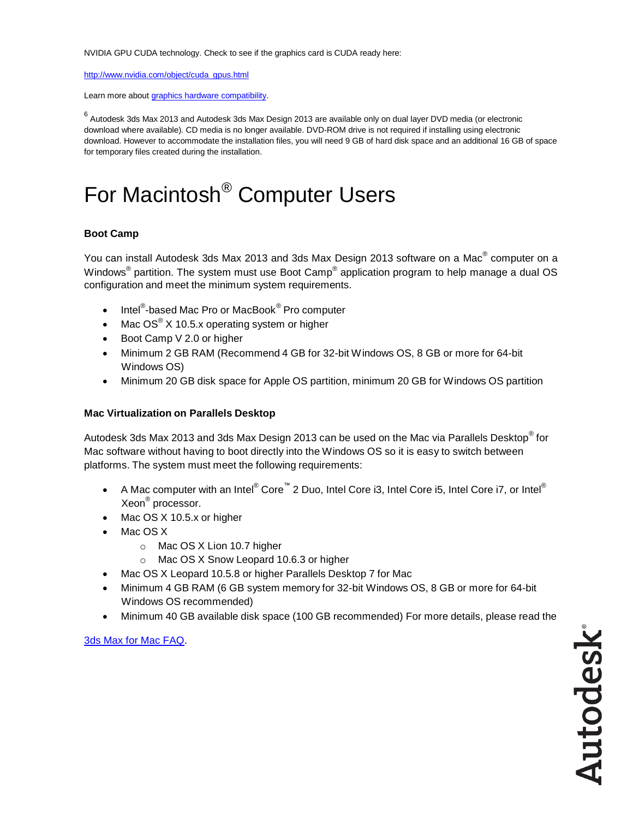NVIDIA GPU CUDA technology. Check to see if the graphics card is CUDA ready here:

[http://www.nvidia.com/object/cuda\\_gpus.html](http://www.nvidia.com/object/cuda_gpus.html)

Learn more abou[t graphics hardware compatibility.](http://usa.autodesk.com/adsk/servlet/pc/item?siteID=123112&id=13606754)

<sup>6</sup> Autodesk 3ds Max 2013 and Autodesk 3ds Max Design 2013 are available only on dual layer DVD media (or electronic download where available). CD media is no longer available. DVD-ROM drive is not required if installing using electronic download. However to accommodate the installation files, you will need 9 GB of hard disk space and an additional 16 GB of space for temporary files created during the installation.

## For Macintosh<sup>®</sup> Computer Users

#### **Boot Camp**

You can install Autodesk 3ds Max 2013 and 3ds Max Design 2013 software on a Mac<sup>®</sup> computer on a Windows $^{\circledast}$  partition. The system must use Boot Camp $^{\circledast}$  application program to help manage a dual OS configuration and meet the minimum system requirements.

- Intel<sup>®</sup>-based Mac Pro or MacBook<sup>®</sup> Pro computer
- Mac OS $^{\circ}$  X 10.5.x operating system or higher
- Boot Camp V 2.0 or higher
- Minimum 2 GB RAM (Recommend 4 GB for 32-bit Windows OS, 8 GB or more for 64-bit Windows OS)
- Minimum 20 GB disk space for Apple OS partition, minimum 20 GB for Windows OS partition

#### **Mac Virtualization on Parallels Desktop**

Autodesk 3ds Max 2013 and 3ds Max Design 2013 can be used on the Mac via Parallels Desktop $^{\circledR}$  for Mac software without having to boot directly into the Windows OS so it is easy to switch between platforms. The system must meet the following requirements:

- A Mac computer with an Intel® Core<sup>™</sup> 2 Duo, Intel Core i3, Intel Core i5, Intel Core i7, or Intel® Xeon ® processor.
- Mac OS X 10.5.x or higher
- Mac OS X
	- o Mac OS X Lion 10.7 higher
	- o Mac OS X Snow Leopard 10.6.3 or higher
- Mac OS X Leopard 10.5.8 or higher Parallels Desktop 7 for Mac
- Minimum 4 GB RAM (6 GB system memory for 32-bit Windows OS, 8 GB or more for 64-bit Windows OS recommended)
- Minimum 40 GB available disk space (100 GB recommended) For more details, please read the

3ds Max for Mac [FAQ.](http://download.autodesk.com/us/3dsmax/documentation/3ds_Max_FAQ.pdf)